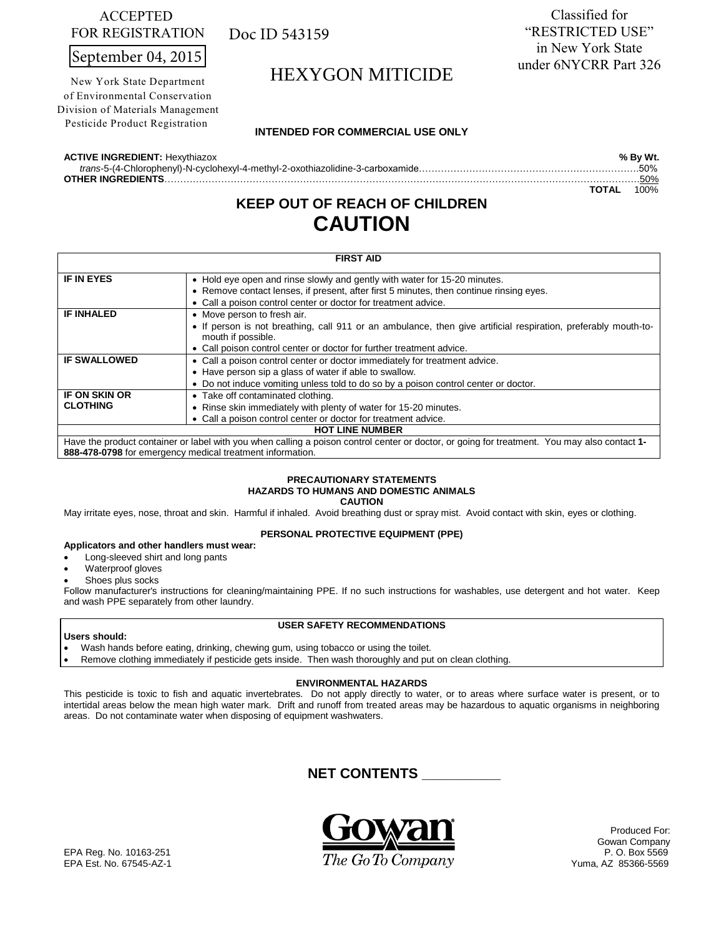# ACCEPTED FOR REGISTRATION

September 04, 2015

New York State Department of Environmental Conservation Division of Materials Management Pesticide Product Registration

Doc ID 543159

Classified for "RESTRICTED USE" in New York State under 6NYCRR Part 326

# HEXYGON MITICIDE

# **INTENDED FOR COMMERCIAL USE ONLY**

**ACTIVE INGREDIENT:** Hexythiazox **% By Wt.** 

 *trans*-5-(4-Chlorophenyl)-N-cyclohexyl-4-methyl-2-oxothiazolidine-3-carboxamide…………………………………………………………….50%

**OTHER INGREDIENTS**…………………………………………………………………………………………………………………………………….50% **TOTAL** 100%

# **KEEP OUT OF REACH OF CHILDREN CAUTION**

| <b>FIRST AID</b>                                                                                                                                  |                                                                                                                                                                                                                             |  |  |
|---------------------------------------------------------------------------------------------------------------------------------------------------|-----------------------------------------------------------------------------------------------------------------------------------------------------------------------------------------------------------------------------|--|--|
| <b>IF IN EYES</b>                                                                                                                                 | • Hold eye open and rinse slowly and gently with water for 15-20 minutes.<br>• Remove contact lenses, if present, after first 5 minutes, then continue rinsing eyes.                                                        |  |  |
| <b>IF INHALED</b>                                                                                                                                 | • Call a poison control center or doctor for treatment advice.<br>• Move person to fresh air.<br>• If person is not breathing, call 911 or an ambulance, then give artificial respiration, preferably mouth-to-             |  |  |
|                                                                                                                                                   | mouth if possible.<br>• Call poison control center or doctor for further treatment advice.                                                                                                                                  |  |  |
| <b>IF SWALLOWED</b>                                                                                                                               | • Call a poison control center or doctor immediately for treatment advice.<br>• Have person sip a glass of water if able to swallow.<br>• Do not induce vomiting unless told to do so by a poison control center or doctor. |  |  |
| <b>IF ON SKIN OR</b><br><b>CLOTHING</b>                                                                                                           | • Take off contaminated clothing.<br>• Rinse skin immediately with plenty of water for 15-20 minutes.<br>• Call a poison control center or doctor for treatment advice.                                                     |  |  |
| <b>HOT LINE NUMBER</b>                                                                                                                            |                                                                                                                                                                                                                             |  |  |
| Have the product container or label with you when calling a poison control center or doctor, or going for treatment. You may also contact 1-<br>. |                                                                                                                                                                                                                             |  |  |

**888-478-0798** for emergency medical treatment information.

### **PRECAUTIONARY STATEMENTS HAZARDS TO HUMANS AND DOMESTIC ANIMALS CAUTION**

May irritate eyes, nose, throat and skin. Harmful if inhaled. Avoid breathing dust or spray mist. Avoid contact with skin, eyes or clothing.

## **PERSONAL PROTECTIVE EQUIPMENT (PPE)**

# **Applicators and other handlers must wear:**

- Long-sleeved shirt and long pants
- Waterproof gloves
- Shoes plus socks

Follow manufacturer's instructions for cleaning/maintaining PPE. If no such instructions for washables, use detergent and hot water. Keep and wash PPE separately from other laundry.

## **USER SAFETY RECOMMENDATIONS**

### **Users should:**

- Wash hands before eating, drinking, chewing gum, using tobacco or using the toilet.
- Remove clothing immediately if pesticide gets inside. Then wash thoroughly and put on clean clothing.

## **ENVIRONMENTAL HAZARDS**

This pesticide is toxic to fish and aquatic invertebrates. Do not apply directly to water, or to areas where surface water is present, or to intertidal areas below the mean high water mark. Drift and runoff from treated areas may be hazardous to aquatic organisms in neighboring areas. Do not contaminate water when disposing of equipment washwaters.

# **NET CONTENTS \_\_\_\_\_\_\_\_\_\_**



Produced For: Gowan Company<br>P. O. Box 5569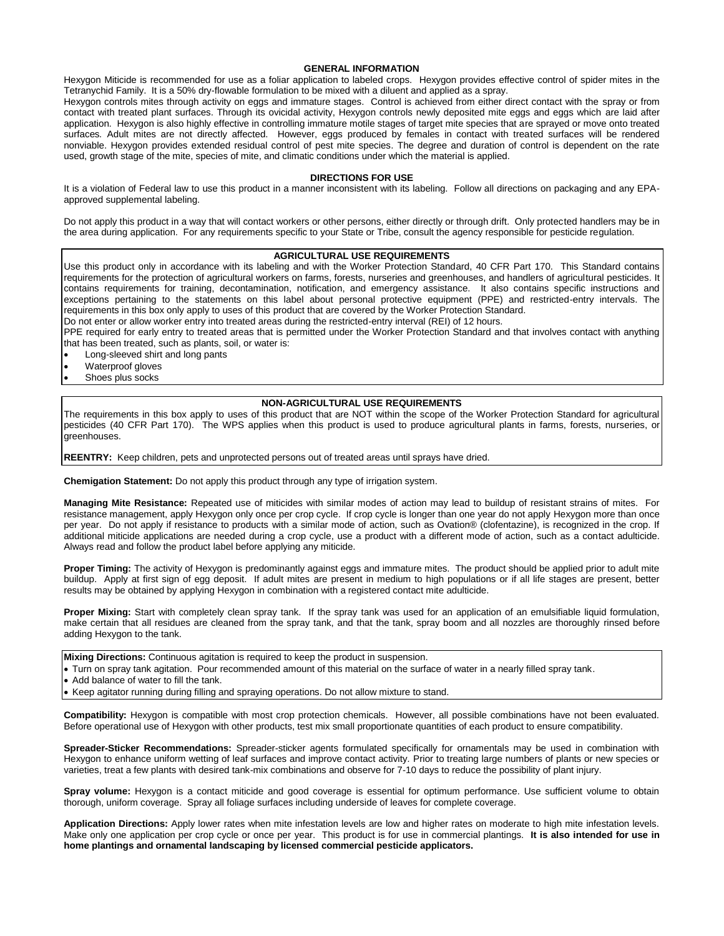### **GENERAL INFORMATION**

Hexygon Miticide is recommended for use as a foliar application to labeled crops. Hexygon provides effective control of spider mites in the Tetranychid Family. It is a 50% dry-flowable formulation to be mixed with a diluent and applied as a spray.

Hexygon controls mites through activity on eggs and immature stages. Control is achieved from either direct contact with the spray or from contact with treated plant surfaces. Through its ovicidal activity, Hexygon controls newly deposited mite eggs and eggs which are laid after application. Hexygon is also highly effective in controlling immature motile stages of target mite species that are sprayed or move onto treated surfaces*.* Adult mites are not directly affected. However, eggs produced by females in contact with treated surfaces will be rendered nonviable. Hexygon provides extended residual control of pest mite species. The degree and duration of control is dependent on the rate used, growth stage of the mite, species of mite, and climatic conditions under which the material is applied.

### **DIRECTIONS FOR USE**

It is a violation of Federal law to use this product in a manner inconsistent with its labeling. Follow all directions on packaging and any EPAapproved supplemental labeling.

Do not apply this product in a way that will contact workers or other persons, either directly or through drift. Only protected handlers may be in the area during application. For any requirements specific to your State or Tribe, consult the agency responsible for pesticide regulation.

### **AGRICULTURAL USE REQUIREMENTS**

Use this product only in accordance with its labeling and with the Worker Protection Standard, 40 CFR Part 170. This Standard contains requirements for the protection of agricultural workers on farms, forests, nurseries and greenhouses, and handlers of agricultural pesticides. It contains requirements for training, decontamination, notification, and emergency assistance. It also contains specific instructions and exceptions pertaining to the statements on this label about personal protective equipment (PPE) and restricted-entry intervals. The requirements in this box only apply to uses of this product that are covered by the Worker Protection Standard.

Do not enter or allow worker entry into treated areas during the restricted-entry interval (REI) of 12 hours.

PPE required for early entry to treated areas that is permitted under the Worker Protection Standard and that involves contact with anything that has been treated, such as plants, soil, or water is:

Long-sleeved shirt and long pants

- Waterproof gloves
- Shoes plus socks

### **NON-AGRICULTURAL USE REQUIREMENTS**

The requirements in this box apply to uses of this product that are NOT within the scope of the Worker Protection Standard for agricultural pesticides (40 CFR Part 170). The WPS applies when this product is used to produce agricultural plants in farms, forests, nurseries, or greenhouses.

**REENTRY:** Keep children, pets and unprotected persons out of treated areas until sprays have dried.

**Chemigation Statement:** Do not apply this product through any type of irrigation system.

**Managing Mite Resistance:** Repeated use of miticides with similar modes of action may lead to buildup of resistant strains of mites. For resistance management, apply Hexygon only once per crop cycle. If crop cycle is longer than one year do not apply Hexygon more than once per year. Do not apply if resistance to products with a similar mode of action, such as Ovation® (clofentazine), is recognized in the crop. If additional miticide applications are needed during a crop cycle, use a product with a different mode of action, such as a contact adulticide. Always read and follow the product label before applying any miticide.

**Proper Timing:** The activity of Hexygon is predominantly against eggs and immature mites. The product should be applied prior to adult mite buildup. Apply at first sign of egg deposit. If adult mites are present in medium to high populations or if all life stages are present, better results may be obtained by applying Hexygon in combination with a registered contact mite adulticide.

**Proper Mixing:** Start with completely clean spray tank. If the spray tank was used for an application of an emulsifiable liquid formulation, make certain that all residues are cleaned from the spray tank, and that the tank, spray boom and all nozzles are thoroughly rinsed before adding Hexygon to the tank.

**Mixing Directions:** Continuous agitation is required to keep the product in suspension.

Turn on spray tank agitation. Pour recommended amount of this material on the surface of water in a nearly filled spray tank.

• Add balance of water to fill the tank.

Keep agitator running during filling and spraying operations. Do not allow mixture to stand.

**Compatibility:** Hexygon is compatible with most crop protection chemicals. However, all possible combinations have not been evaluated. Before operational use of Hexygon with other products, test mix small proportionate quantities of each product to ensure compatibility.

**Spreader-Sticker Recommendations:** Spreader-sticker agents formulated specifically for ornamentals may be used in combination with Hexygon to enhance uniform wetting of leaf surfaces and improve contact activity*.* Prior to treating large numbers of plants or new species or varieties, treat a few plants with desired tank-mix combinations and observe for 7-10 days to reduce the possibility of plant injury.

**Spray volume:** Hexygon is a contact miticide and good coverage is essential for optimum performance. Use sufficient volume to obtain thorough, uniform coverage. Spray all foliage surfaces including underside of leaves for complete coverage.

**Application Directions:** Apply lower rates when mite infestation levels are low and higher rates on moderate to high mite infestation levels. Make only one application per crop cycle or once per year. This product is for use in commercial plantings. **It is also intended for use in home plantings and ornamental landscaping by licensed commercial pesticide applicators.**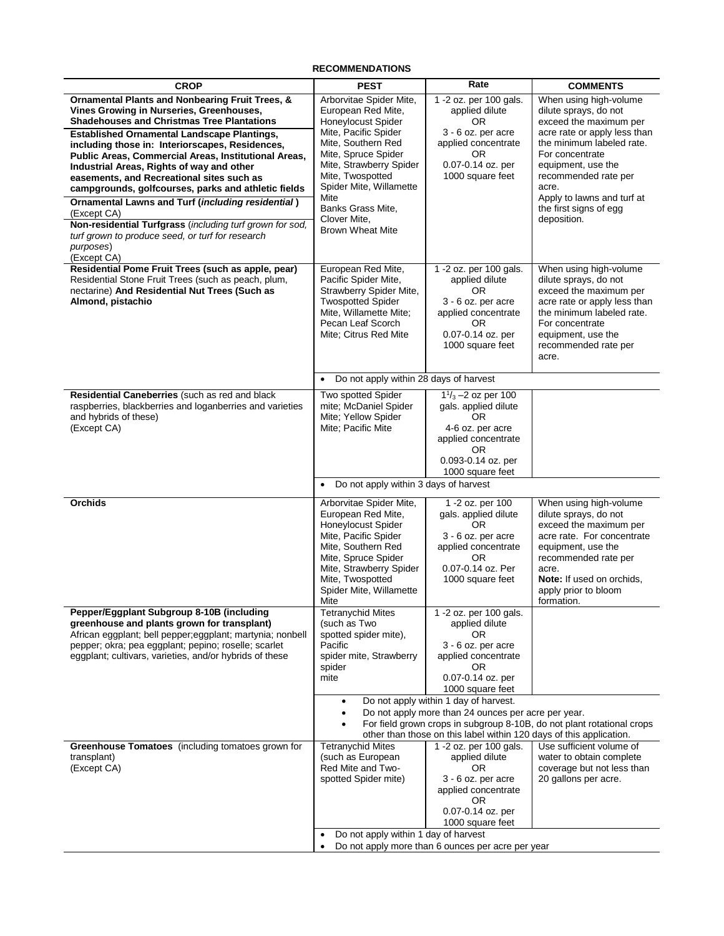# **RECOMMENDATIONS**

| <b>CROP</b>                                                                                                                                                                                                                                                                                                                                                                                                                                                                                                                    | <b>PEST</b>                                                                                                                                                                                                                       | Rate                                                                                                                                                                                                                                         | <b>COMMENTS</b>                                                                                                                                                                                                                          |
|--------------------------------------------------------------------------------------------------------------------------------------------------------------------------------------------------------------------------------------------------------------------------------------------------------------------------------------------------------------------------------------------------------------------------------------------------------------------------------------------------------------------------------|-----------------------------------------------------------------------------------------------------------------------------------------------------------------------------------------------------------------------------------|----------------------------------------------------------------------------------------------------------------------------------------------------------------------------------------------------------------------------------------------|------------------------------------------------------------------------------------------------------------------------------------------------------------------------------------------------------------------------------------------|
| <b>Ornamental Plants and Nonbearing Fruit Trees, &amp;</b><br>Vines Growing in Nurseries, Greenhouses,<br><b>Shadehouses and Christmas Tree Plantations</b>                                                                                                                                                                                                                                                                                                                                                                    | Arborvitae Spider Mite,<br>European Red Mite,<br><b>Honeylocust Spider</b>                                                                                                                                                        | 1 -2 oz. per 100 gals.<br>applied dilute<br>OR.                                                                                                                                                                                              | When using high-volume<br>dilute sprays, do not<br>exceed the maximum per                                                                                                                                                                |
| <b>Established Ornamental Landscape Plantings,</b><br>including those in: Interiorscapes, Residences,<br>Public Areas, Commercial Areas, Institutional Areas,<br>Industrial Areas, Rights of way and other<br>easements, and Recreational sites such as<br>campgrounds, golfcourses, parks and athletic fields<br>Ornamental Lawns and Turf (including residential)<br>(Except CA)<br>Non-residential Turfgrass (including turf grown for sod,<br>turf grown to produce seed, or turf for research<br>purposes)<br>(Except CA) | Mite, Pacific Spider<br>Mite, Southern Red<br>Mite, Spruce Spider<br>Mite, Strawberry Spider<br>Mite, Twospotted<br>Spider Mite, Willamette<br>Mite<br>Banks Grass Mite,<br>Clover Mite,<br><b>Brown Wheat Mite</b>               | 3 - 6 oz. per acre<br>applied concentrate<br>OR.<br>0.07-0.14 oz. per<br>1000 square feet                                                                                                                                                    | acre rate or apply less than<br>the minimum labeled rate.<br>For concentrate<br>equipment, use the<br>recommended rate per<br>acre.<br>Apply to lawns and turf at<br>the first signs of egg<br>deposition.                               |
| Residential Pome Fruit Trees (such as apple, pear)<br>Residential Stone Fruit Trees (such as peach, plum,<br>nectarine) And Residential Nut Trees (Such as<br>Almond, pistachio                                                                                                                                                                                                                                                                                                                                                | European Red Mite,<br>Pacific Spider Mite,<br>Strawberry Spider Mite,<br><b>Twospotted Spider</b><br>Mite, Willamette Mite;<br>Pecan Leaf Scorch<br>Mite: Citrus Red Mite                                                         | 1 -2 oz. per 100 gals.<br>applied dilute<br>OR.<br>3 - 6 oz. per acre<br>applied concentrate<br>OR.<br>0.07-0.14 oz. per<br>1000 square feet                                                                                                 | When using high-volume<br>dilute sprays, do not<br>exceed the maximum per<br>acre rate or apply less than<br>the minimum labeled rate.<br>For concentrate<br>equipment, use the<br>recommended rate per<br>acre.                         |
|                                                                                                                                                                                                                                                                                                                                                                                                                                                                                                                                | Do not apply within 28 days of harvest<br>$\bullet$                                                                                                                                                                               |                                                                                                                                                                                                                                              |                                                                                                                                                                                                                                          |
| Residential Caneberries (such as red and black<br>raspberries, blackberries and loganberries and varieties<br>and hybrids of these)<br>(Except CA)                                                                                                                                                                                                                                                                                                                                                                             | Two spotted Spider<br>mite; McDaniel Spider<br>Mite; Yellow Spider<br>Mite; Pacific Mite                                                                                                                                          | $1\frac{1}{3}$ –2 oz per 100<br>gals. applied dilute<br>OR.<br>4-6 oz. per acre<br>applied concentrate<br>OR.<br>0.093-0.14 oz. per<br>1000 square feet                                                                                      |                                                                                                                                                                                                                                          |
|                                                                                                                                                                                                                                                                                                                                                                                                                                                                                                                                | Do not apply within 3 days of harvest<br>$\bullet$                                                                                                                                                                                |                                                                                                                                                                                                                                              |                                                                                                                                                                                                                                          |
| <b>Orchids</b>                                                                                                                                                                                                                                                                                                                                                                                                                                                                                                                 | Arborvitae Spider Mite,<br>European Red Mite,<br><b>Honeylocust Spider</b><br>Mite, Pacific Spider<br>Mite, Southern Red<br>Mite, Spruce Spider<br>Mite, Strawberry Spider<br>Mite, Twospotted<br>Spider Mite, Willamette<br>Mite | 1 -2 oz. per 100<br>gals. applied dilute<br>OR.<br>3 - 6 oz. per acre<br>applied concentrate<br>OR.<br>0.07-0.14 oz. Per<br>1000 square feet                                                                                                 | When using high-volume<br>dilute sprays, do not<br>exceed the maximum per<br>acre rate. For concentrate<br>equipment, use the<br>recommended rate per<br>acre.<br><b>Note:</b> If used on orchids,<br>apply prior to bloom<br>formation. |
| Pepper/Eggplant Subgroup 8-10B (including<br>greenhouse and plants grown for transplant)<br>African eggplant; bell pepper; eggplant; martynia; nonbell<br>pepper; okra; pea eggplant; pepino; roselle; scarlet<br>eggplant; cultivars, varieties, and/or hybrids of these                                                                                                                                                                                                                                                      | <b>Tetranychid Mites</b><br>(such as Two<br>spotted spider mite),<br>Pacific<br>spider mite, Strawberry<br>spider<br>mite<br>$\bullet$<br>$\bullet$                                                                               | 1 -2 oz. per 100 gals.<br>applied dilute<br>OR.<br>3 - 6 oz. per acre<br>applied concentrate<br>OR.<br>0.07-0.14 oz. per<br>1000 square feet<br>Do not apply within 1 day of harvest.<br>Do not apply more than 24 ounces per acre per year. |                                                                                                                                                                                                                                          |
|                                                                                                                                                                                                                                                                                                                                                                                                                                                                                                                                | For field grown crops in subgroup 8-10B, do not plant rotational crops<br>other than those on this label within 120 days of this application.                                                                                     |                                                                                                                                                                                                                                              |                                                                                                                                                                                                                                          |
| Greenhouse Tomatoes (including tomatoes grown for<br>transplant)<br>(Except CA)                                                                                                                                                                                                                                                                                                                                                                                                                                                | <b>Tetranychid Mites</b><br>(such as European<br>Red Mite and Two-<br>spotted Spider mite)<br>Do not apply within 1 day of harvest                                                                                                | 1 -2 oz. per 100 gals.<br>applied dilute<br>OR.<br>3 - 6 oz. per acre<br>applied concentrate<br>OR<br>0.07-0.14 oz. per<br>1000 square feet                                                                                                  | Use sufficient volume of<br>water to obtain complete<br>coverage but not less than<br>20 gallons per acre.                                                                                                                               |
|                                                                                                                                                                                                                                                                                                                                                                                                                                                                                                                                | Do not apply more than 6 ounces per acre per year                                                                                                                                                                                 |                                                                                                                                                                                                                                              |                                                                                                                                                                                                                                          |